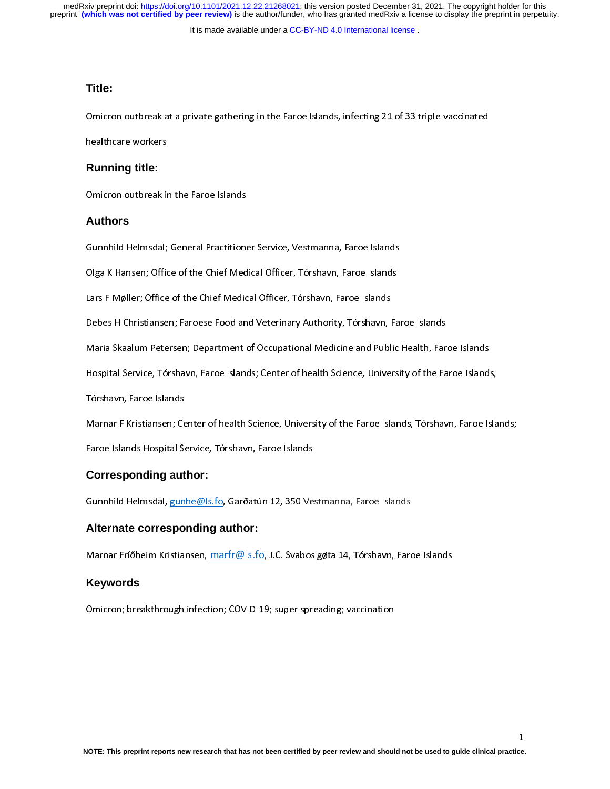preprint **(which was not certified by peer review)** is the author/funder, who has granted medRxiv a license to display the preprint in perpetuity. medRxiv preprint doi: [https://doi.org/10.1101/2021.12.22.21268021;](https://doi.org/10.1101/2021.12.22.21268021) this version posted December 31, 2021. The copyright holder for this

It is made available under a [CC-BY-ND 4.0 International license](http://creativecommons.org/licenses/by-nd/4.0/) .

## **Title:**

#### **Running title:**

Pinter of Chinese at a private gathering in the Faroe Islands, infecting 21 of 33 triple-vaccinated<br>healthcare workers<br>Omicron outbreak in the Faroe Islands healthcare workers<br>Running title:<br>Omicron outbreak in<br>Authors

#### **Authors**

Omicron outbreak in the Faroe Islands<br> **Authors**<br>
Gunnhild Helmsdal; General Practitioner Service, Vestmanna, Faroe Islands<br>
Olga K Hansen; Office of the Chief Medical Officer, Tórshavn, Faroe Islands

Cumma Gunnama, Service, Gunnama, Cumanna, Cumanna, Cumanna<br>Olga K Hansen; Office of the Chief Medical Officer, Tórshavn, Faroe Islands<br>Lars F Møller; Office of the Chief Medical Officer, Tórshavn, Faroe Islands<br>Debes H Chr olga K Hansen; Office of the Chief Medical Officer, Tórshavn, Faroe Islands<br>Debes H Christiansen; Faroese Food and Veterinary Authority, Tórshavn, Fa<br>Maria Skaalum Petersen; Department of Occupational Medicine and Public Debes H Christiansen; Faroese Food and Veterinary Authority, Tórshavn, F<br>Maria Skaalum Petersen; Department of Occupational Medicine and Publ<br>Hospital Service, Tórshavn, Faroe Islands; Center of health Science, Univer

Debes Hemmannen; Faroese Food and Veterinary, Farmen; J. Beetham, Faroese Found<br>Maria Skaalum Petersen; Department of Occupational Medicine and Public Health, Far<br>Hospital Service, Tórshavn, Faroe Islands; Center of health

Maria Shaalum Petersen; Department of Occupational Medicine and Public Health, Public Health<br>Hospital Service, Tórshavn, Faroe Islands; Center of health Science, University of the Faroe Island:<br>Marnar F Kristiansen; Center

Tórshavn, Faroe Islands<br>Marnar F Kristiansen; Center of health Science, University of the Faroe Islands, Tórshavn, Faroe Islands;

Faroe Islands Hospital Service, Tórshavn, Faroe Islands

#### **Corresponding author:**

Marinar Finnsmansen; Center of Health Science, University of the Farmer, Thematic, Tarlinans, Taroe Islands, T<br>Faroe Islands Hospital Service, Tórshavn, Faroe Islands<br>Gunnhild Helmsdal, <u>gunhe@ls.fo</u>, Garðatún 12, 350 Vest Gunnhild Helmsdal, gunhe@ls.fo, Garðatún 12, 350 Vestmanna, Faroe Islands

#### **Alternate corresponding author:**

Marnar Fríðheim Kristiansen, marfr@ls.fo, J.C. Svabos gøta 14, Tórshavn, Faroe Islands

#### **Keywords**

Marnar Fríðheim Kristiansen, <u>mar nefnar o</u>fising, J.C. Svabos gøta 14, Forshavn, Faroe Islands<br>**Keywords**<br>Omicron; breakthrough infection; COVID-19; super spreading; vaccination Omicron; breakthrough infection; COVID-19; super spreading; vaccination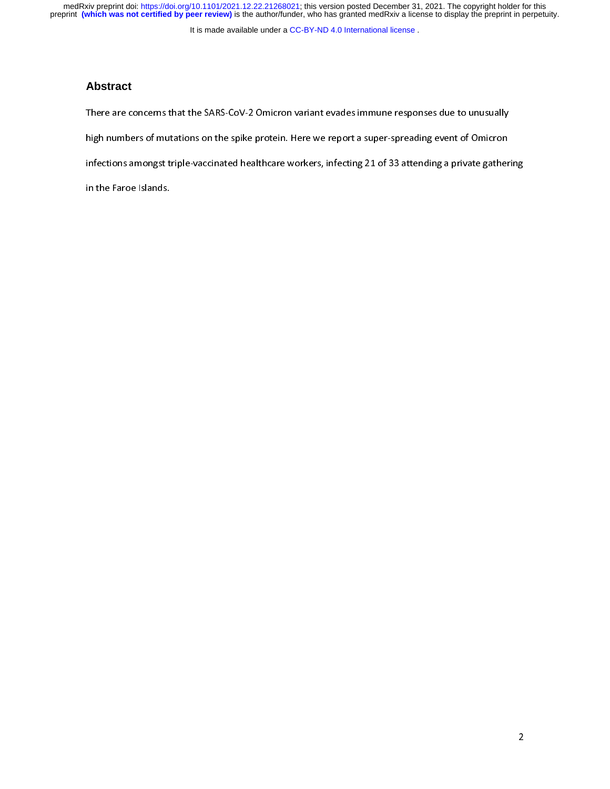medRxiv preprint doi: [https://doi.org/10.1101/2021.12.22.21268021;](https://doi.org/10.1101/2021.12.22.21268021) this version posted December 31, 2021. The copyright holder for this<br>preprint (which was not certified by peer review) is the author/funder, who has grante

It is made available under a [CC-BY-ND 4.0 International license](http://creativecommons.org/licenses/by-nd/4.0/) .

#### **Abstract**

There are concerns that the SARS-Coverns that the SARS-Community responses that the annually<br>high numbers of mutations on the spike protein. Here we report a super-spreading event of Omicron<br>infections amongst triple-vacci infections amongst triple-vaccinated healthcare workers, infecting 21 of 33 attending a private gather<br>in the Faroe Islands. in the Faroe Islands.<br>in the Faroe Islands.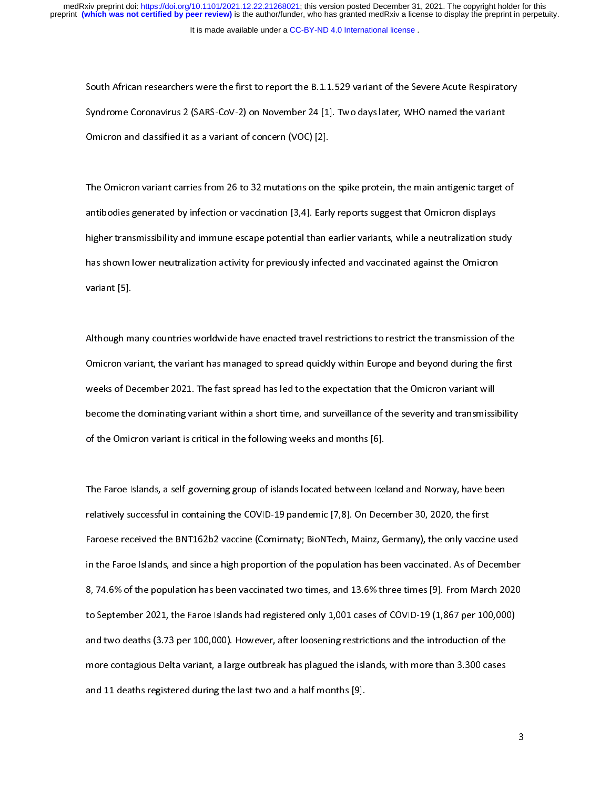South African researchers were the first to report the B.1.1.529 variant of the Severe Acute Respiratory<br>Syndrome Coronavirus 2 (SARS-CoV-2) on November 24 [1]. Two days later, WHO named the variant<br>Omicron and classified Syndrome Crematical L<sub>(C</sub>rine Coron<sub>d)</sub> on Nortember 24 [1]. The varys later, WHO named the variant<br>Omicron and classified it as a variant of concern (VOC) [2].<br>The Omicron variant carries from 26 to 32 mutations on the s

The Omicron variant carries from 26 to 32 mutations on the antibodies generated by infection or vaccination [3,4]. Early ן<br>|<br>| antibodies generated by infection or vaccination [3,4]. Early reports suggest that Omicron displays<br>higher transmissibility and immune escape potential than earlier variants, while a neutralization study<br>has shown lower ne and in this pher transmissibility and immune escape potential than earlier variants, while a neutralization studies shown lower neutralization activity for previously infected and vaccinated against the Omicron variant [5] has shown lower neutralization activity for previously infected and vaccinated against the Omicron<br>variant [5]. has shown in the control of the shown of the shown inferences shown infections to restrict the transmission of<br>Although many countries worldwide have enacted travel restrictions to restrict the transmission of

variant <sub>[5]</sub>.<br>Although m<br>Omicron va  $\frac{1}{2}$ Omicron variant, the variant has managed to spread quickly within Europe and beyond during the first<br>weeks of December 2021. The fast spread has led to the expectation that the Omicron variant will<br>become the dominating va Omicroped the variant of the variant of the variant of the variant will<br>become the dominating variant within a short time, and surveillance of the severity and transmissibility<br>of the Omicron variant is critical in the fol become the dominating variant within a short time, and surveillance of the severity and transmissi<br>of the Omicron variant is critical in the following weeks and months [6]. of the Omicron variant is critical in the following weeks and months [6].<br>The Faroe Islands, a self-governing group of islands located between Iceland and Norway, have been

relatively successful in containing the COVID-19 pandemic [7,8]. On December 30, 2020, the first 1<br>|<br>| The Faroe Islands, a self-governing group of islands located between Iceland and Norths, yind to self-<br>relatively successful in containing the COVID-19 pandemic [7,8]. On December 30, 2020, the first<br>Faroese received the B Faroese received the BNT162b2 vaccine (Comirnaty; BioNTech, Mainz, Germany), the only vaccin<br>in the Faroe Islands, and since a high proportion of the population has been vaccinated. As of Dec<br>8, 74.6% of the population has Faroe received the BNT162012 vacations (Commany) districtive, mainly documently, the only vacation in the Faroe Islands, and since a high proportion of the population has been vaccinated. As of December<br>8, 74.6% of the pop 8, 74.6% of the population has been vaccinated two times, and 13.6% three times [9]. From March 2020<br>to September 2021, the Faroe Islands had registered only 1,001 cases of COVID-19 (1,867 per 100,000) 8, 74.6% of the population has been vaccinated two times, and 13.6% three times [9]. From March 2020 to the Faro<br>and two deaths (3.73 per 100,000). However, after loosening restrictions and the introduction of the<br>more contagious Delta variant, a large outbreak has plagued the islands, with more than 3.300 cases<br>and 11 de more contagious Delta variant, a large outbreak has plagued the islands, with more than 3.300 cases<br>and 11 deaths registered during the last two and a half months [9]. and 11 deaths registered during the last two and a half months [9].<br>
And 11 deaths registered during the last two and a half months [9]. and 11 decates registered during the last two and a half months  $[9]$ .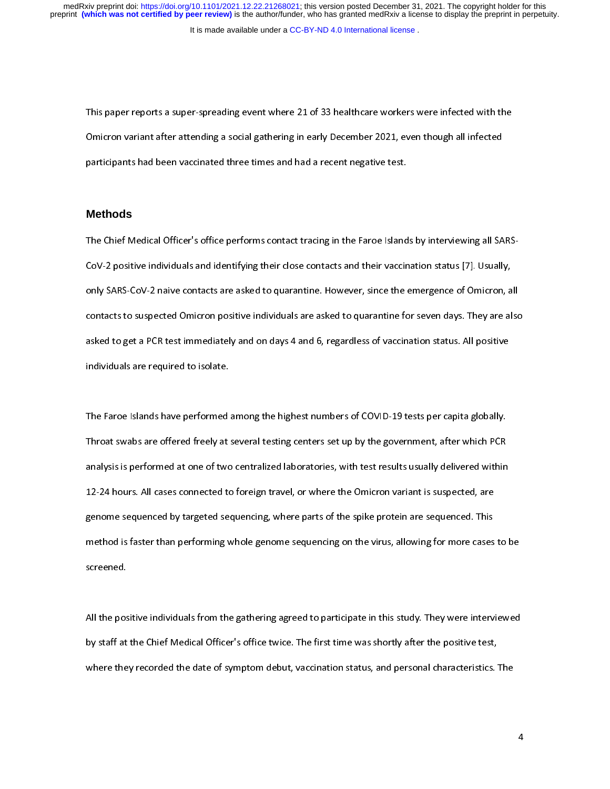It is made available under a [CC-BY-ND 4.0 International license](http://creativecommons.org/licenses/by-nd/4.0/) .

 $\frac{1}{\sqrt{2}}$ This paper reports a super-spreading event where 21 of 33 healthcare workers were infected with the<br>Omicron variant after attending a social gathering in early December 2021, even though all infected<br>participants had been Participants had been vaccinated three times and had a recent negative test.<br>participants had been vaccinated three times and had a recent negative test.<br>Methods

### **Methods**

The Chief Medical Officer's office performs contact tracing in the Faroe Islands by interviewing all SARS- $\frac{1}{3}$ The Chief Medical Officer's office performs contact tracing in the Faroe Islands by interviewing all SARS-CoV-2 positive individuals and identifying their close contacts and their vaccination status [7]. Usually,<br>only SARS COV-2 positive individuals and identifying their status and their vacuum status [7]. Usually,<br>contacts to suspected Omicron positive individuals are asked to quarantine for seven days. They are al<br>asked to get a PCR test i contacts to suspected Omicron positive individuals are asked to quarantine for seven days. They are also<br>asked to get a PCR test immediately and on days 4 and 6, regardless of vaccination status. All positive<br>individuals a contacts to get a PCR test immediately and on days 4 and 6, regardless of vaccination status. All positive individuals are required to isolate. asked to get a PCR test immediately and on days 4 and 6, regardless of resultance status. All positive<br>individuals are required to isolate.<br>The Faroe Islands have performed among the highest numbers of COVID-19 tests per c

individuals are required to isolate.<br>The Faroe Islands have performed<br>Throat swabs are offered freely at  $\begin{array}{c} \n\frac{1}{2} & \frac{1}{2} \\ \n\frac{1}{2} & \frac{1}{2} \\ \n\frac{1}{2} & \frac{1}{2} \\ \n\frac{1}{2} & \frac{1}{2} \\ \n\frac{1}{2} & \frac{1}{2} \\ \n\frac{1}{2} & \frac{1}{2} \\ \n\frac{1}{2} & \frac{1}{2} \\ \n\frac{1}{2} & \frac{1}{2} \\ \n\frac{1}{2} & \frac{1}{2} \\ \n\frac{1}{2} & \frac{1}{2} \\ \n\frac{1}{2} & \frac{1}{2} \\ \n\frac{1}{2} & \frac{1}{$ Throat swabs are offered freely at several testing centers set up by the government, after which PCR<br>analysis is performed at one of two centralized laboratories, with test results usually delivered within<br>12-24 hours. All analysis is performed at one of two centralized laboratories, with test results usually delivered within<br>12-24 hours. All cases connected to foreign travel, or where the Omicron variant is suspected, are<br>genome sequenced b analysis is performed at our connected to foreign travel, or where the Omicron variant is suspected, are<br>genome sequenced by targeted sequencing, where parts of the spike protein are sequenced. This<br>method is faster than p 12-24 genome sequenced by targeted sequencing, where parts of the spike protein are sequenced. This<br>12-24 method is faster than performing whole genome sequencing on the virus, allowing for more cases<br>12-35 screened. generated by the sequence of the spike procedure in the spike procedure sequencing on the virus, allowing for more cases<br>screened.<br>This sequence protein are sequencing on the virus, allowing for more cases screened.<br>All the positive individuals from the gathering agreed to participate in this study. They were interviewed

by staff at the Chief Medical Officer's office twice. The first time was shortly after the positive test,  $\frac{1}{\sqrt{2}}$ All the positive individuals from the gathering agreed to participate in this study. They were interviewed<br>by staff at the Chief Medical Officer's office twice. The first time was shortly after the positive test,<br>where the by staff at the Chief Medical Officer's office twice. The first time was shortly after the positive test,<br>where they recorded the date of symptom debut, vaccination status, and personal characteristics.<br>.<br>. where they recorded the date of symptom debut, vaccination status, and personal characteristics. The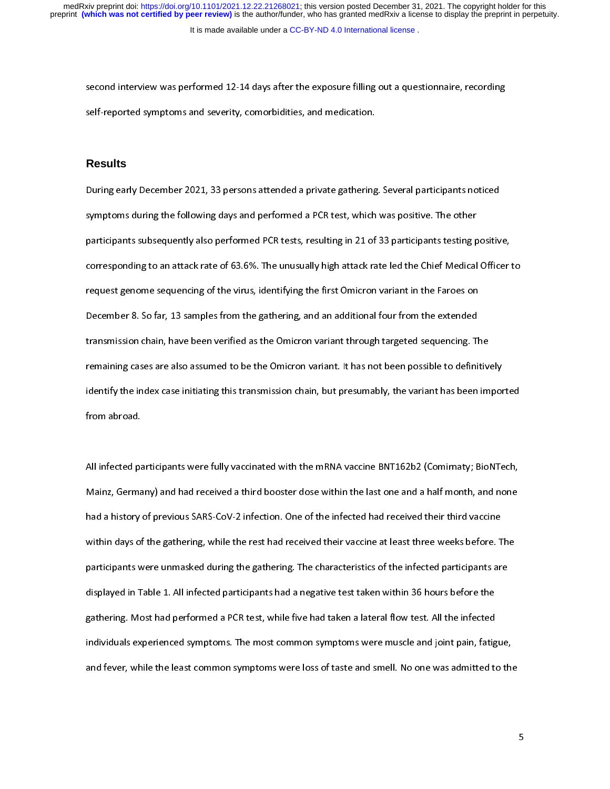self-reported symptoms and severity, comorbidities, and medication.<br>Results self-reported symptoms and severity, comorbidities, and medication.<br><br>**Results**<br>During early December 2021, 33 persons attended a private gathering. Several participants noticed

### **Results**

l<br>! symptoms during the following days and performed a PCR test, which was positive. The other<br>participants subsequently also performed PCR tests, resulting in 21 of 33 participants testing positive,<br>corresponding to an attack symptoms during displacement and performed and extends the performance interestion participants testing porticipants subsequently also performed PCR tests, resulting in 21 of 33 participants testing por<br>corresponding to an participants in the corresponding to an attack rate of 63.6%. The unusually high attack rate led the Chief Medical Officer tequest genome sequencing of the virus, identifying the first Omicron variant in the Faroes on Dece corresponding to an attack rate of 63.6%. The unusually high attack rate led the Chief Medical Officer request<br>general general sequencing of the virus, identifying the first Omicron variant in the Faroes on<br>December 8. So request genome sequencing of the virus, isoming in the variant in the virus in the virus on<br>December 8. So far, 13 samples from the gathering, and an additional four from the extended<br>transmission chain, have been verified transmission chain, have been verified as the Omicron variant through targeted sequencing. T<br>remaining cases are also assumed to be the Omicron variant. It has not been possible to defini<br>identify the index case initiating remaining cases are also assumed to be the Omicron variant. It has not been possible to definitively<br>identify the index case initiating this transmission chain, but presumably, the variant has been impor<br>from abroad. identify the index case initiating this transmission chain, but presumably, the variant has been imported identify the index case initiating this transmission chain, but presumatify, the variant has been imported<br>from abroad.<br>All infected participants were fully vaccinated with the mRNA vaccine BNT162b2 (Comirnaty; BioNTech,

All infected pa<br>Mainz, Germa  $\frac{1}{2}$ Mainz, Germany) and had received a third booster dose within the last one and a half month, and none<br>had a history of previous SARS-CoV-2 infection. One of the infected had received their third vaccine within days of the gathering, while the rest had received their vaccine at least three weeks before. The<br>participants were unmasked during the gathering. The characteristics of the infected participants are within days of the gathering, while the rest had received their vaccine at least three weeks before. T<br>participants were unmasked during the gathering. The characteristics of the infected participants ar<br>displayed in Table participants were unmasked during the gathering. The characteristics of the infected participants are<br>displayed in Table 1. All infected participants had a negative test taken within 36 hours before the<br>gathering. Most had participants were unmatted during the gamering. The simulations is the infected participants are<br>displayed in Table 1. All infected participants had a negative test taken within 36 hours before the<br>gathering. Most had perf displayed in Table 1. All interests participants had a negative test taken and flow test. All the infected individuals experienced symptoms. The most common symptoms were muscle and joint pain, fatig<br>and fever, while the l individuals experienced symptoms. The most common symptoms were muscle and joint pain, fatig<br>and fever, while the least common symptoms were loss of taste and smell. No one was admitted to<br>and fever, while the least common and fever, while the least common symptoms were loss of taste and smell. No one was admitted to the and fever, while the least common symptoms were loss of taste and smell. No one was admitted to the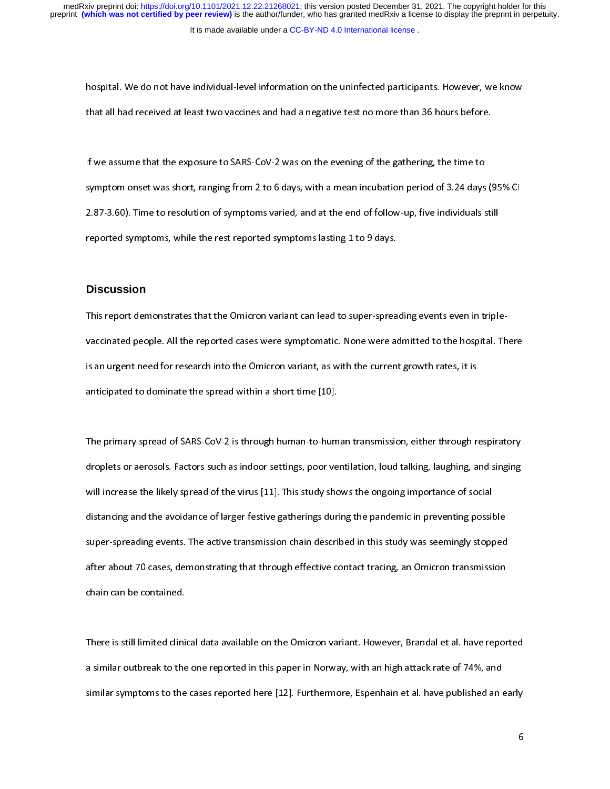It is made available under a [CC-BY-ND 4.0 International license](http://creativecommons.org/licenses/by-nd/4.0/) .

hospital. We do not have individual-level information on the uninfected participants. However, we know<br>that all had received at least two vaccines and had a negative test no more than 36 hours before.<br>If we assume that the

that all had received at least two vacances and had a negative test in more than 26 hours before.<br>If we assume that the exposure to SARS-CoV-2 was on the evening of the gathering, the time to<br>symptom onset was short, rangi  $\frac{1}{2}$ If symptom onset was short, ranging from 2 to 6 days, with a mean incubation period of 3.24 days<br>2.87-3.60). Time to resolution of symptoms varied, and at the end of follow-up, five individuals s<br>1.187-3.60 reported sympto 2.87-3.60). Time to resolution of symptoms varied, and at the end of follow-up, five individuals still<br>reported symptoms, while the rest reported symptoms lasting 1 to 9 days. 2.87-3.60). The corresponded symptoms variety of the rest reported symptoms lasting 1 to 9 days.<br>Discussion

#### **Discussion**

This report demonstrates that the Omicron variant can lead to super-spreading events even in triple- $\frac{1}{\sqrt{2}}$ anticipated to dominate the spread within a short time [10]. vacuated people. All the reported cases were symptomatic. None were admitted to the hospital. There<br>is an urgent need for research into the Omicron variant, as with the current growth rates, it is<br>anticipated to dominate t is an urgent need for research into the Omicron variant, as with the current growth rates, it is<br>anticipated to dominate the spread within a short time [10].<br>The primary spread of SARS-CoV-2 is through human-to-human trans

anticipate of the primary spread of SARS-CoV-2 is through human-to-hum.<br>droplets or aerosols. Factors such as indoor settings, poor ve  $\frac{1}{2}$ The primary spread of the virus spread of the virus spread of the virus spread of the virus spread of the virus in the study shows the ongoing importance of social<br>distancing and the avoidance of larger festive gatherings will increase the likely spread of the virus [11]. This study shows the ongoing importance of social<br>distancing and the avoidance of larger festive gatherings during the pandemic in preventing possible<br>super-spreading even distancing and the avoidance of larger festive gatherings during the pandemic in preventing possil<br>super-spreading events. The active transmission chain described in this study was seemingly stopp<br>after about 70 cases, dem super-spreading events. The active transmission chain described in this study was seemingly stopped<br>after about 70 cases, demonstrating that through effective contact tracing, an Omicron transmission<br>chain can be contained super-spreading events. The active transmission chain activities in this star, that seemingly stopped<br>after about 70 cases, demonstrating that through effective contact tracing, an Omicron transmission<br>chain can be contain after about 70 cases, demonstrating that through effective contacts tracing, and annual contact transmission<br>chain can be contained.<br>There is still limited clinical data available on the Omicron variant. However, Brandal e

chain can be contained.<br>There is still limited clinic<br>a similar outbreak to the  $\frac{1}{2}$ There is still and the data available on the Omicron variant. However, Diamated clinical dependence<br>a similar outbreak to the one reported in this paper in Norway, with an high attack rate of 74%, and<br>similar symptoms to t similar symptoms to the cases reported here [12]. Furthermore, Espenhain et al. have published an  $\epsilon$ <br>similar symptoms to the cases reported here [12]. Furthermore, Espenhain et al. have published an  $\epsilon$ similar symptoms to the cases reported here [12]. Furthermore, Espenhain et al. have published an early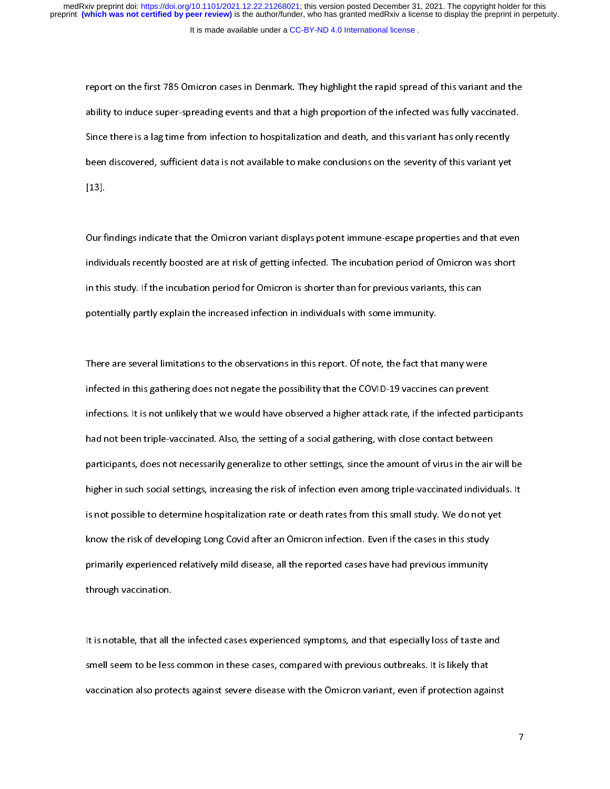It is made available under a [CC-BY-ND 4.0 International license](http://creativecommons.org/licenses/by-nd/4.0/) . medRxiv preprint doi: [https://doi.org/10.1101/2021.12.22.21268021;](https://doi.org/10.1101/2021.12.22.21268021) this version posted December 31, 2021. The copyright holder for this<br>preprint (which was not certified by peer review) is the author/funder, who has grante

report on the first 785 Omicron cases in Denmark. They highlight the rapid spread of this variant and the<br>ability to induce super-spreading events and that a high proportion of the infected was fully vaccinated. Since there is a lag time from infection to hospitalization and death, and this variant has only recently<br>been discovered, sufficient data is not available to make conclusions on the severity of this variant yet<br>[13]. been discovered, sufficient data is not available to make conclusions on the severity of this variant yet

Our findings indicate that the Omicron variant displays potent immune-escape properties and that even .<br>Our f<br>indivi (<br>i<br>i Individuals recently boosted are at risk of getting infected. The incubation period of Omicron was short<br>In this study. If the incubation period for Omicron is shorter than for previous variants, this can<br>potentially partl in this study. If the incubation period for Omicron is shorter than for previous variants, this can<br>potentially partly explain the increased infection in individuals with some immunity. in this study. It in studies in period for Samuelectic form for periods cannoticy this can<br>potentially partly explain the increased infection in individuals with some immunity.<br>There are several limitations to the observat

potentially partly partly particles.<br>There are several limitations to the observations in this report. Of note, the fact that<br>infected in this gathering does not negate the possibility that the COVID-19 vaccines  $\frac{1}{1}$ infected in this gathering does not negate the possibility that the COVID-19 vaccines can prevent<br>infections. It is not unlikely that we would have observed a higher attack rate, if the infected participants<br>had not been t infections. It is not unlikely that we would have observed a higher attack rate, if the infected part<br>had not been triple-vaccinated. Also, the setting of a social gathering, with close contact between<br>participants, does n infections. It is not been triple-vaccinated. Also, the setting of a social gathering, with close contact between<br>participants, does not necessarily generalize to other settings, since the amount of virus in the air will b had not be setting to be estimated. Also, the setting of a social gathering, with close contact between participants, does not necessarily generalize to other settings, since the amount of virus in the air<br>higher in such s higher in such social settings, increasing the risk of infection even among triple-vaccinated individuals. It<br>is not possible to determine hospitalization rate or death rates from this small study. We do not yet<br>know the r higher in such setting such samily increasing the risk of interesting the risk of determine hospitalization rate or death rates from this small study. We do not yet<br>know the risk of developing Long Covid after an Omicron i is not possible to determine inspirancements or dealing attenuation rate or death rates from the cases in this study.<br>
primarily experienced relatively mild disease, all the reported cases have had previous immunity<br>
throu primarily experienced relatively mild disease, all the reported cases have had previous immunity<br>through vaccination. primarily experienced relation.<br>Primarily experienced relationship disease, and the reported is interestingly disease.<br>It is notable, that all the infected cases experienced symptoms, and that especially loss of taste and

the solution of the set of the smell seem to be less<br>Smell seem to be less  $\begin{array}{c} \n\frac{1}{2} \quad \text{if} \quad \frac{1}{2} \quad \text{if} \quad \frac{1}{2} \quad \text{if} \quad \frac{1}{2} \quad \text{if} \quad \frac{1}{2} \quad \text{if} \quad \frac{1}{2} \quad \text{if} \quad \frac{1}{2} \quad \text{if} \quad \frac{1}{2} \quad \text{if} \quad \frac{1}{2} \quad \text{if} \quad \frac{1}{2} \quad \text{if} \quad \frac{1}{2} \quad \text{if} \quad \frac{1}{2} \quad \text{if} \quad \frac{1}{2} \quad \text{if} \quad \frac{$ It is not all seem to be less common in these cases, compared with previous outbreaks. It is likely that vaccination also protects against severe disease with the Omicron variant, even if protection against vaccination and  $s_{\text{v}}$ <br>vaccination also protects against severe disease with the Omicron variant, even if protection agai<br> $\frac{1}{2}$ vaccination also protects against severe disease with the Omicron variant, even if protection against

 $\overline{7}$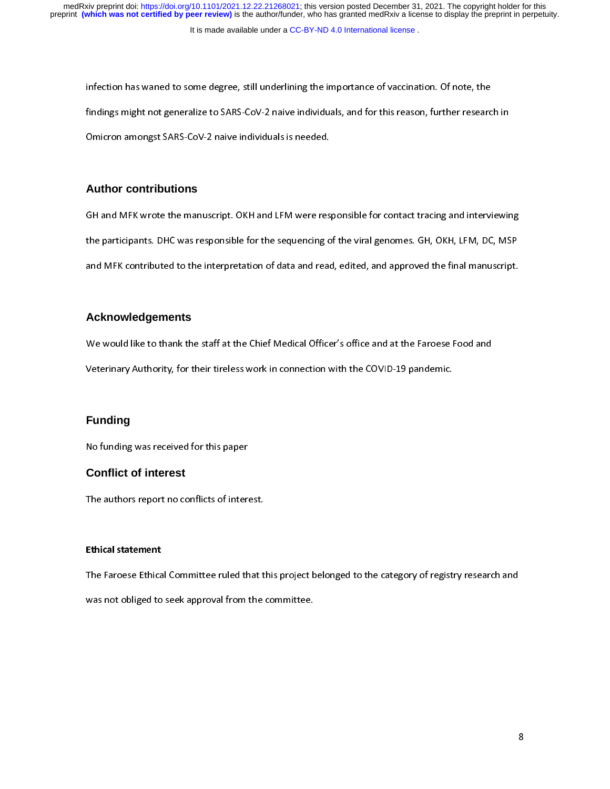infection has waned to some degree, still underlining the importance of vaccination. Of note, the<br>findings might not generalize to SARS-CoV-2 naive individuals, and for this reason, further research in<br>Omicron amongst SARS finalize might not generalize to SARS-CoV-2 naive individuals is needed.<br>Omicron amongst SARS-CoV-2 naive individuals is needed.<br>Author contributions

## **Author contributions**

GH and MFK wrote the manuscript. OKH and LFM were responsible for contact tracing and interviewing  $\frac{1}{t}$ the participants. DHC was responsible for the sequencing of the viral genomes. GH, OKH, LFM, DC, MSP and MFK contributed to the interpretation of data and read, edited, and approved the final manuscript.

# $\frac{1}{\sqrt{2}}$ **Acknowledgements**

We would like to thank the staff at the Chief Medical Officer's office and at the Faroese Food and

Veterinary Authority, for their tireless work in connection with the COVID-19 pandemic.

# $\frac{1}{3}$ **Funding**

Funding<br>Funding<br>No funding was received for this paper

## **Conflict of interest**

No funding was received for this paper<br> **Conflict of interest**<br>
The authors report no conflicts of interest.

#### Ethical statement

The Faroese Ethical Committee ruled that this project belonged to the category of registry research and  $\begin{array}{c} \n\frac{1}{2} \quad \text{and} \quad \frac{1}{2} \quad \text{and} \quad \frac{1}{2} \quad \text{and} \quad \frac{1}{2} \quad \text{and} \quad \frac{1}{2} \quad \text{and} \quad \frac{1}{2} \quad \text{and} \quad \frac{1}{2} \quad \text{and} \quad \frac{1}{2} \quad \text{and} \quad \frac{1}{2} \quad \text{and} \quad \frac{1}{2} \quad \text{and} \quad \frac{1}{2} \quad \text{and} \quad \frac{1}{2} \quad \text{and} \quad \frac{1}{2} \quad \text{and} \quad \frac{$ The Faroese Ethical Committee rules that this project belonged to the category of registry research and<br>was not obliged to seek approval from the committee. was not obliged to seek approval from the committee.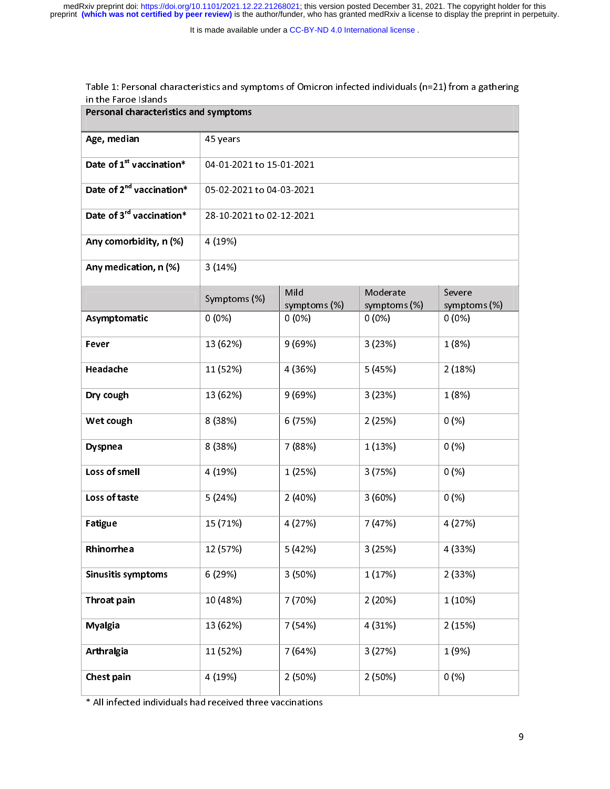medRxiv preprint doi: [https://doi.org/10.1101/2021.12.22.21268021;](https://doi.org/10.1101/2021.12.22.21268021) this version posted December 31, 2021. The copyright holder for this<br>preprint (which was not certified by peer review) is the author/funder, who has grante

It is made available under a [CC-BY-ND 4.0 International license](http://creativecommons.org/licenses/by-nd/4.0/) .

| Age, median                                                | 45 years                 |                      |                          |                        |
|------------------------------------------------------------|--------------------------|----------------------|--------------------------|------------------------|
| Date of 1 <sup>st</sup> vaccination*                       | 04-01-2021 to 15-01-2021 |                      |                          |                        |
| Date of 2 <sup>nd</sup> vaccination*                       | 05-02-2021 to 04-03-2021 |                      |                          |                        |
| Date of 3 <sup>rd</sup> vaccination*                       | 28-10-2021 to 02-12-2021 |                      |                          |                        |
| Any comorbidity, n (%)                                     | 4 (19%)                  |                      |                          |                        |
| Any medication, n (%)                                      | 3(14%)                   |                      |                          |                        |
|                                                            | Symptoms (%)             | Mild<br>symptoms (%) | Moderate<br>symptoms (%) | Severe<br>symptoms (%) |
| Asymptomatic                                               | $0(0\%)$                 | $0(0\%)$             | $0(0\%)$                 | $0(0\%)$               |
| Fever                                                      | 13 (62%)                 | 9(69%)               | 3(23%)                   | 1(8%)                  |
| Headache                                                   | 11 (52%)                 | 4 (36%)              | 5 (45%)                  | 2(18%)                 |
| Dry cough                                                  | 13 (62%)                 | 9(69%)               | 3(23%)                   | 1(8%)                  |
| Wet cough                                                  | 8 (38%)                  | 6 (75%)              | 2(25%)                   | 0(%)                   |
| <b>Dyspnea</b>                                             | 8 (38%)                  | 7 (88%)              | 1(13%)                   | 0(%)                   |
| Loss of smell                                              | 4 (19%)                  | 1(25%)               | 3(75%)                   | 0(%)                   |
| Loss of taste                                              | 5(24%)                   | 2(40%)               | 3(60%)                   | 0(%)                   |
| <b>Fatigue</b>                                             | 15 (71%)                 | 4 (27%)              | 7 (47%)                  | 4 (27%)                |
| Rhinorrhea                                                 | 12 (57%)                 | 5 (42%)              | 3(25%)                   | 4 (33%)                |
| <b>Sinusitis symptoms</b>                                  | 6 (29%)                  | 3 (50%)              | 1(17%)                   | 2(33%)                 |
| Throat pain                                                | 10 (48%)                 | 7 (70%)              | 2(20%)                   | 1(10%)                 |
| <b>Myalgia</b>                                             | 13 (62%)                 | 7(54%)               | 4 (31%)                  | 2(15%)                 |
| Arthralgia                                                 | 11 (52%)                 | 7 (64%)              | 3(27%)                   | 1 (9%)                 |
| Chest pain                                                 | 4 (19%)                  | 2(50%)               | 2(50%)                   | 0(%)                   |
| * All infected individuals had received three vaccinations |                          |                      |                          |                        |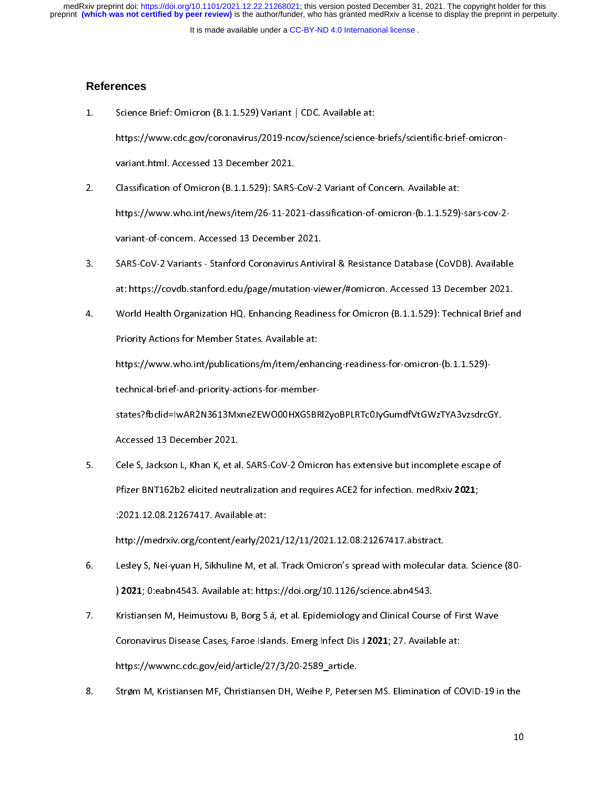It is made available under a [CC-BY-ND 4.0 International license](http://creativecommons.org/licenses/by-nd/4.0/) .

#### **References**

 $1$ 

1. Science Brief: Omicron (B.1.1.529) Variant | CDC. Available at:<br>https://www.cdc.gov/coronavirus/2019-ncov/science/science-briefs/scientific-brief-omicron-<br>variant.html. Accessed 13 December 2021.<br>2. Classification of Om

- https://www.who.int/news/item/26-11-2021-classification-of-omicron-(b.1.1.529)-sars-cov-2-Classification of Omicron (B.1.1.529): SARS-CoV-2 Variant of Concern. Available at:<br>https://www.who.int/news/item/26-11-2021-classification-of-omicron-(b.1.1.529)<br>variant-of-concern. Accessed 13 December 2021. 2. https://www.who.int/news/item/26-11-2021-classification-of-omicron-(b.1.1.529)<br>2. variant-of-concern. Accessed 13 December 2021.<br>3. SARS-CoV-2 Variants - Stanford Coronavirus Antiviral & Resistance Database (CoVD
- https://www.who.int/news/item/26-11-2021-2021.<br>https://concern. Accessed 13 December 2021.<br>SARS-CoV-2 Variants Stanford Coronavirus Antiviral & Resistance Database (CoVDB). Available<br>at: https://covdb.stanford.edu/page/m SARS-CoV-2 Variants - Stanford Coronavirus Antivi<br>at: https://covdb.stanford.edu/page/mutation-vie<br>World Health Organization HQ. Enhancing Readin
- 3. at: https://covdb.stanford.edu/page/mutation-viewer/#omicron. Accessed 13 December 2021.<br>4. Sarvid Health Organization HQ. Enhancing Readiness for Omicron (B.1.1.529): Technical Brief antiviral Available at:<br>8. Priority at: https://<br>World Health Organization HQ. Enhancing Readiness for Omicron (B.1.1.529): Technical Brief an<br>Priority Actions for Member States. Available at:<br>https://www.who.int/publications/m/item/enhancing-readiness-for-o 4. World Health Organization HQ. Enhancing Readmost T.1. Enhancing (Enhancing Triminism 2014)<br>Priority Actions for Member States. Available at:<br>https://www.who.int/publications/m/item/enhancing-readiness-for-omicron-(b.1.1

Priority Actions for Member States. Available at:<br>https://www.who.int/publications/m/item/enhancing-readiness-for-omicron-(b.1.1.529)-<br>technical-brief-and-priority-actions-for-member-

states?fbclid=IwAR2N3613MxneZEWO00HXGSBRlZyoBPLRTc0JyGumdfVtGWzTYA3vzsdrcGY.<br>Accessed 13 December 2021.

tele b, suckson L, Knan K, et al. SANS-cov- $\boldsymbol{\Sigma}$  onne states of 13 December 2021.<br>The States of Indiaces: College States.<br>Perizer BNT162b2 elicited neutralization and requires ACE2 for infection. medRxiv 2021; Cele S, Jackson L, Khan K, et al<br>Pfizer BNT162b2 elicited neut<br>2021.12.08.21267417. Availa 5. Cele S, Jackson L, Khan K, et al. SARS-CoV-2 Omicron has extensive but incomplete esca<br>Pfizer BNT162b2 elicited neutralization and requires ACE2 for infection. medRxiv 2021;<br>2021.12.08.21267417. Available at: Pfizer BNT162b2 elicited neutralization and requires ACE2 for infection. medixity 2021,<br>Philips 2021.12.08.21267417. Available at:<br>http://medrxiv.org/content/early/2021/12/11/2021.12.08.21267417.abstract.<br>Lesley S, Nei-yua

- http://medrxiv.org/content/early/2021/12/11/2021.12.08.21267417.abstract.<br>Lesley S, Nei-yuan H, Sikhuline M, et al. Track Omicron's spread with molecular<br>2021; 0:eabn4543. Available at: https://doi.org/10.1126/science.abn4 http://medrxiv.org/content/early/2021/12/11/2021.12.08.21267417.abstract.
- 6. Leslie S, Nei-yuan H, Sikhuline S, Nei-yuan H, Sikhuline M, Sikhuline at: https://doi.org/10.1126/science.abn4543.<br>T. Kristiansen M, Heimustovu B, Borg S á, et al. Epidemiology and Clinical Course of First Wave<br>Coronavi Kristiansen M, Heimustovu B, Borg S á, et al. Epidemiology and Clinical Course of First Wave<br>Coronavirus Disease Cases, Faroe Islands. Emerg Infect Dis J 2021; 27. Available at:<br>https://wwwnc.cdc.gov/eid/article/27/3/20-25 2. Kristiansen M, Heimustovu B, Borg S á, et al. Epidemiology and clinical Course of Miles Meta<br>2. Coronavirus Disease Cases, Faroe Islands. Emerg Infect Dis J 2021; 27. Available at:<br>2. Strøm M, Kristiansen MF, Christians Coronavirus Disease Cases, Faroe Islands. Emerg Infect Dis J 2021, 27. Available at:<br>https://wwwnc.cdc.gov/eid/article/27/3/20-2589\_article.<br>Strøm M, Kristiansen MF, Christiansen DH, Weihe P, Petersen MS. Elimination of CO
- https://www.com/article.gov/eid/article.gov/eid/article/27/3/20-2589<br>Strøm M, Kristiansen MF, Christiansen DH, Weihe P, Peters<br>Notes 8. Strøm M, Kristiansen MF, Christiansen DH, Weihe P, Petersen MS. Elimination of COVID-19 in the